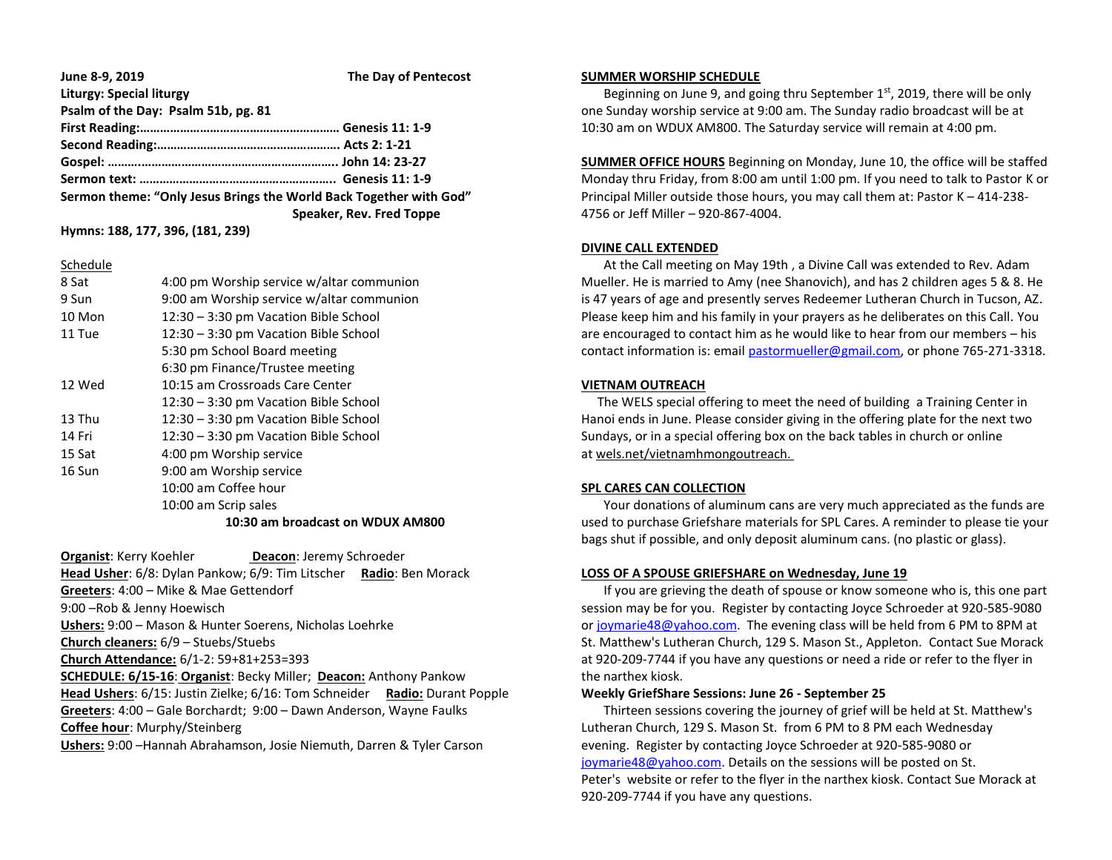| June 8-9, 2019                                                     | The Day of Pentecost     |
|--------------------------------------------------------------------|--------------------------|
| <b>Liturgy: Special liturgy</b>                                    |                          |
| Psalm of the Day: Psalm 51b, pg. 81                                |                          |
|                                                                    |                          |
|                                                                    |                          |
|                                                                    |                          |
|                                                                    |                          |
| Sermon theme: "Only Jesus Brings the World Back Together with God" |                          |
|                                                                    | Speaker, Rev. Fred Toppe |

**Hymns: 188, 177, 396, (181, 239)**

#### Schedule

| 8 Sat  | 4:00 pm Worship service w/altar communion |
|--------|-------------------------------------------|
| 9 Sun  | 9:00 am Worship service w/altar communion |
| 10 Mon | 12:30 - 3:30 pm Vacation Bible School     |
| 11 Tue | 12:30 – 3:30 pm Vacation Bible School     |
|        | 5:30 pm School Board meeting              |
|        | 6:30 pm Finance/Trustee meeting           |
| 12 Wed | 10:15 am Crossroads Care Center           |
|        | 12:30 - 3:30 pm Vacation Bible School     |
| 13 Thu | 12:30 – 3:30 pm Vacation Bible School     |
| 14 Fri | 12:30 - 3:30 pm Vacation Bible School     |
| 15 Sat | 4:00 pm Worship service                   |
| 16 Sun | 9:00 am Worship service                   |
|        | 10:00 am Coffee hour                      |
|        | 10:00 am Scrip sales                      |
|        | 10:30 am broadcast on WDUX AM800          |

**Organist:** Kerry Koehler **Deacon**: Jeremy Schroeder **Head Usher**: 6/8: Dylan Pankow; 6/9: Tim Litscher **Radio**: Ben Morack **Greeters**: 4:00 – Mike & Mae Gettendorf 9:00 –Rob & Jenny Hoewisch **Ushers:** 9:00 – Mason & Hunter Soerens, Nicholas Loehrke **Church cleaners:** 6/9 – Stuebs/Stuebs **Church Attendance:** 6/1-2: 59+81+253=393 **SCHEDULE: 6/15-16**: **Organist**: Becky Miller; **Deacon:** Anthony Pankow **Head Ushers**: 6/15: Justin Zielke; 6/16: Tom Schneider **Radio:** Durant Popple **Greeters**: 4:00 – Gale Borchardt; 9:00 – Dawn Anderson, Wayne Faulks **Coffee hour**: Murphy/Steinberg **Ushers:** 9:00 –Hannah Abrahamson, Josie Niemuth, Darren & Tyler Carson

#### **SUMMER WORSHIP SCHEDULE**

Beginning on June 9, and going thru September  $1<sup>st</sup>$ , 2019, there will be only one Sunday worship service at 9:00 am. The Sunday radio broadcast will be at 10:30 am on WDUX AM800. The Saturday service will remain at 4:00 pm.

**SUMMER OFFICE HOURS** Beginning on Monday, June 10, the office will be staffed Monday thru Friday, from 8:00 am until 1:00 pm. If you need to talk to Pastor K or Principal Miller outside those hours, you may call them at: Pastor K – 414-238- 4756 or Jeff Miller – 920-867-4004.

## **DIVINE CALL EXTENDED**

 At the Call meeting on May 19th , a Divine Call was extended to Rev. Adam Mueller. He is married to Amy (nee Shanovich), and has 2 children ages 5 & 8. He is 47 years of age and presently serves Redeemer Lutheran Church in Tucson, AZ. Please keep him and his family in your prayers as he deliberates on this Call. You are encouraged to contact him as he would like to hear from our members – his contact information is: email [pastormueller@gmail.com,](mailto:pastormueller@gmail.com) or phone 765-271-3318.

### **VIETNAM OUTREACH**

 The WELS special offering to meet the need of building a Training Center in Hanoi ends in June. Please consider giving in the offering plate for the next two Sundays, or in a special offering box on the back tables in church or online at wels.net/vietnamhmongoutreach.

# **SPL CARES CAN COLLECTION**

 Your donations of aluminum cans are very much appreciated as the funds are used to purchase Griefshare materials for SPL Cares. A reminder to please tie your bags shut if possible, and only deposit aluminum cans. (no plastic or glass).

# **LOSS OF A SPOUSE GRIEFSHARE on Wednesday, June 19**

 If you are grieving the death of spouse or know someone who is, this one part session may be for you. Register by contacting Joyce Schroeder at 920-585-9080 or [joymarie48@yahoo.com.](mailto:joymarie48@yahoo.com) The evening class will be held from 6 PM to 8PM at St. Matthew's Lutheran Church, 129 S. Mason St., Appleton. Contact Sue Morack at 920-209-7744 if you have any questions or need a ride or refer to the flyer in the narthex kiosk.

### **Weekly GriefShare Sessions: June 26 - September 25**

 Thirteen sessions covering the journey of grief will be held at St. Matthew's Lutheran Church, 129 S. Mason St. from 6 PM to 8 PM each Wednesday evening. Register by contacting Joyce Schroeder at 920-585-9080 or [joymarie48@yahoo.com.](mailto:joymarie48@yahoo.com) Details on the sessions will be posted on St. Peter's website or refer to the flyer in the narthex kiosk. Contact Sue Morack at 920-209-7744 if you have any questions.